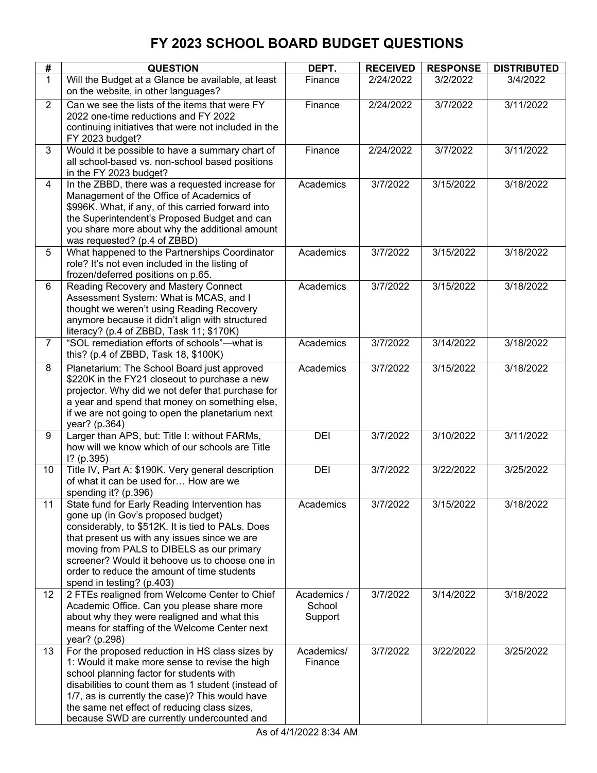| #              | <b>QUESTION</b>                                                                                                                                                                                                                                                                                                                                                     | DEPT.                            | <b>RECEIVED</b> | <b>RESPONSE</b> | <b>DISTRIBUTED</b> |
|----------------|---------------------------------------------------------------------------------------------------------------------------------------------------------------------------------------------------------------------------------------------------------------------------------------------------------------------------------------------------------------------|----------------------------------|-----------------|-----------------|--------------------|
| $\mathbf{1}$   | Will the Budget at a Glance be available, at least<br>on the website, in other languages?                                                                                                                                                                                                                                                                           | Finance                          | 2/24/2022       | 3/2/2022        | 3/4/2022           |
| $\overline{2}$ | Can we see the lists of the items that were FY<br>2022 one-time reductions and FY 2022<br>continuing initiatives that were not included in the<br>FY 2023 budget?                                                                                                                                                                                                   | Finance                          | 2/24/2022       | 3/7/2022        | 3/11/2022          |
| 3              | Would it be possible to have a summary chart of<br>all school-based vs. non-school based positions<br>in the FY 2023 budget?                                                                                                                                                                                                                                        | Finance                          | 2/24/2022       | 3/7/2022        | 3/11/2022          |
| 4              | In the ZBBD, there was a requested increase for<br>Management of the Office of Academics of<br>\$996K. What, if any, of this carried forward into<br>the Superintendent's Proposed Budget and can<br>you share more about why the additional amount<br>was requested? (p.4 of ZBBD)                                                                                 | Academics                        | 3/7/2022        | 3/15/2022       | 3/18/2022          |
| 5              | What happened to the Partnerships Coordinator<br>role? It's not even included in the listing of<br>frozen/deferred positions on p.65.                                                                                                                                                                                                                               | Academics                        | 3/7/2022        | 3/15/2022       | 3/18/2022          |
| 6              | Reading Recovery and Mastery Connect<br>Assessment System: What is MCAS, and I<br>thought we weren't using Reading Recovery<br>anymore because it didn't align with structured<br>literacy? (p.4 of ZBBD, Task 11; \$170K)                                                                                                                                          | Academics                        | 3/7/2022        | 3/15/2022       | 3/18/2022          |
| $\overline{7}$ | "SOL remediation efforts of schools"-- what is<br>this? (p.4 of ZBBD, Task 18, \$100K)                                                                                                                                                                                                                                                                              | Academics                        | 3/7/2022        | 3/14/2022       | 3/18/2022          |
| 8              | Planetarium: The School Board just approved<br>\$220K in the FY21 closeout to purchase a new<br>projector. Why did we not defer that purchase for<br>a year and spend that money on something else,<br>if we are not going to open the planetarium next<br>year? (p.364)                                                                                            | Academics                        | 3/7/2022        | 3/15/2022       | 3/18/2022          |
| 9              | Larger than APS, but: Title I: without FARMs,<br>how will we know which of our schools are Title<br>$1?$ (p.395)                                                                                                                                                                                                                                                    | DEI                              | 3/7/2022        | 3/10/2022       | 3/11/2022          |
| 10             | Title IV, Part A: \$190K. Very general description<br>of what it can be used for How are we<br>spending it? (p.396)                                                                                                                                                                                                                                                 | DEI                              | 3/7/2022        | 3/22/2022       | 3/25/2022          |
| 11             | State fund for Early Reading Intervention has<br>gone up (in Gov's proposed budget)<br>considerably, to \$512K. It is tied to PALs. Does<br>that present us with any issues since we are<br>moving from PALS to DIBELS as our primary<br>screener? Would it behoove us to choose one in<br>order to reduce the amount of time students<br>spend in testing? (p.403) | Academics                        | 3/7/2022        | 3/15/2022       | 3/18/2022          |
| 12             | 2 FTEs realigned from Welcome Center to Chief<br>Academic Office. Can you please share more<br>about why they were realigned and what this<br>means for staffing of the Welcome Center next<br>year? (p.298)                                                                                                                                                        | Academics /<br>School<br>Support | 3/7/2022        | 3/14/2022       | 3/18/2022          |
| 13             | For the proposed reduction in HS class sizes by<br>1: Would it make more sense to revise the high<br>school planning factor for students with<br>disabilities to count them as 1 student (instead of<br>1/7, as is currently the case)? This would have<br>the same net effect of reducing class sizes,<br>because SWD are currently undercounted and               | Academics/<br>Finance            | 3/7/2022        | 3/22/2022       | 3/25/2022          |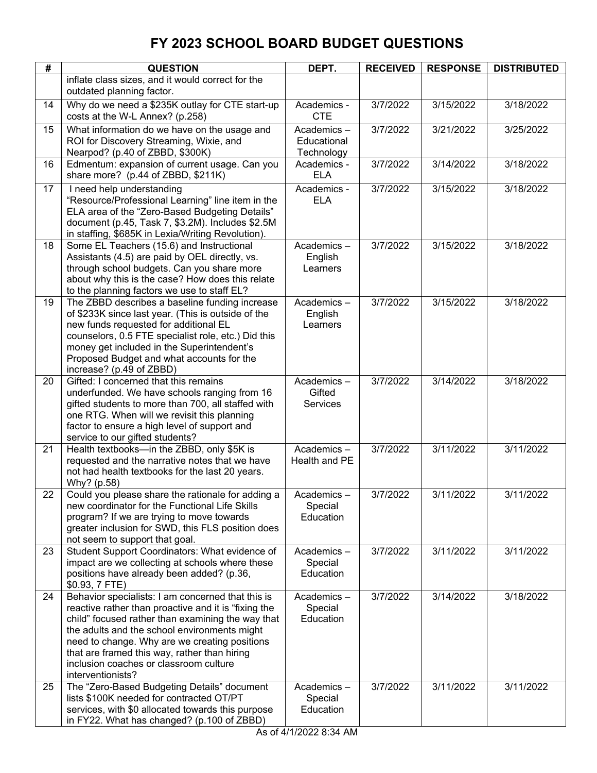| #  | <b>QUESTION</b>                                                                                                                                                                                                                                                                                                                                                                | DEPT.                                   | <b>RECEIVED</b> | <b>RESPONSE</b> | <b>DISTRIBUTED</b> |
|----|--------------------------------------------------------------------------------------------------------------------------------------------------------------------------------------------------------------------------------------------------------------------------------------------------------------------------------------------------------------------------------|-----------------------------------------|-----------------|-----------------|--------------------|
|    | inflate class sizes, and it would correct for the<br>outdated planning factor.                                                                                                                                                                                                                                                                                                 |                                         |                 |                 |                    |
| 14 | Why do we need a \$235K outlay for CTE start-up<br>costs at the W-L Annex? (p.258)                                                                                                                                                                                                                                                                                             | Academics -<br><b>CTE</b>               | 3/7/2022        | 3/15/2022       | 3/18/2022          |
| 15 | What information do we have on the usage and<br>ROI for Discovery Streaming, Wixie, and<br>Nearpod? (p.40 of ZBBD, \$300K)                                                                                                                                                                                                                                                     | Academics-<br>Educational<br>Technology | 3/7/2022        | 3/21/2022       | 3/25/2022          |
| 16 | Edmentum: expansion of current usage. Can you<br>share more? (p.44 of ZBBD, \$211K)                                                                                                                                                                                                                                                                                            | Academics -<br><b>ELA</b>               | 3/7/2022        | 3/14/2022       | 3/18/2022          |
| 17 | I need help understanding<br>"Resource/Professional Learning" line item in the<br>ELA area of the "Zero-Based Budgeting Details"<br>document (p.45, Task 7, \$3.2M). Includes \$2.5M<br>in staffing, \$685K in Lexia/Writing Revolution).                                                                                                                                      | Academics -<br><b>ELA</b>               | 3/7/2022        | 3/15/2022       | 3/18/2022          |
| 18 | Some EL Teachers (15.6) and Instructional<br>Assistants (4.5) are paid by OEL directly, vs.<br>through school budgets. Can you share more<br>about why this is the case? How does this relate<br>to the planning factors we use to staff EL?                                                                                                                                   | Academics-<br>English<br>Learners       | 3/7/2022        | 3/15/2022       | 3/18/2022          |
| 19 | The ZBBD describes a baseline funding increase<br>of \$233K since last year. (This is outside of the<br>new funds requested for additional EL<br>counselors, 0.5 FTE specialist role, etc.) Did this<br>money get included in the Superintendent's<br>Proposed Budget and what accounts for the<br>increase? (p.49 of ZBBD)                                                    | Academics-<br>English<br>Learners       | 3/7/2022        | 3/15/2022       | 3/18/2022          |
| 20 | Gifted: I concerned that this remains<br>underfunded. We have schools ranging from 16<br>gifted students to more than 700, all staffed with<br>one RTG. When will we revisit this planning<br>factor to ensure a high level of support and<br>service to our gifted students?                                                                                                  | Academics-<br>Gifted<br><b>Services</b> | 3/7/2022        | 3/14/2022       | 3/18/2022          |
| 21 | Health textbooks-in the ZBBD, only \$5K is<br>requested and the narrative notes that we have<br>not had health textbooks for the last 20 years.<br>Why? (p.58)                                                                                                                                                                                                                 | Academics-<br>Health and PE             | 3/7/2022        | 3/11/2022       | 3/11/2022          |
| 22 | Could you please share the rationale for adding a<br>new coordinator for the Functional Life Skills<br>program? If we are trying to move towards<br>greater inclusion for SWD, this FLS position does<br>not seem to support that goal.                                                                                                                                        | Academics-<br>Special<br>Education      | 3/7/2022        | 3/11/2022       | 3/11/2022          |
| 23 | Student Support Coordinators: What evidence of<br>impact are we collecting at schools where these<br>positions have already been added? (p.36,<br>\$0.93, 7 FTE)                                                                                                                                                                                                               | Academics-<br>Special<br>Education      | 3/7/2022        | 3/11/2022       | 3/11/2022          |
| 24 | Behavior specialists: I am concerned that this is<br>reactive rather than proactive and it is "fixing the<br>child" focused rather than examining the way that<br>the adults and the school environments might<br>need to change. Why are we creating positions<br>that are framed this way, rather than hiring<br>inclusion coaches or classroom culture<br>interventionists? | Academics-<br>Special<br>Education      | 3/7/2022        | 3/14/2022       | 3/18/2022          |
| 25 | The "Zero-Based Budgeting Details" document<br>lists \$100K needed for contracted OT/PT<br>services, with \$0 allocated towards this purpose<br>in FY22. What has changed? (p.100 of ZBBD)                                                                                                                                                                                     | Academics-<br>Special<br>Education      | 3/7/2022        | 3/11/2022       | 3/11/2022          |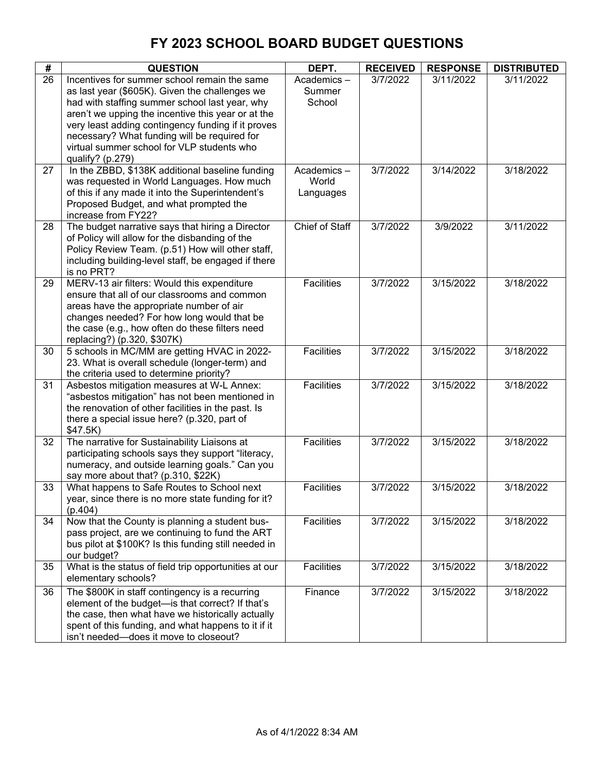| #               | <b>QUESTION</b>                                                                                       | DEPT.                 | <b>RECEIVED</b> | <b>RESPONSE</b> | <b>DISTRIBUTED</b> |
|-----------------|-------------------------------------------------------------------------------------------------------|-----------------------|-----------------|-----------------|--------------------|
| $\overline{26}$ | Incentives for summer school remain the same                                                          | Academics-            | 3/7/2022        | 3/11/2022       | 3/11/2022          |
|                 | as last year (\$605K). Given the challenges we                                                        | Summer                |                 |                 |                    |
|                 | had with staffing summer school last year, why                                                        | School                |                 |                 |                    |
|                 | aren't we upping the incentive this year or at the                                                    |                       |                 |                 |                    |
|                 | very least adding contingency funding if it proves                                                    |                       |                 |                 |                    |
|                 | necessary? What funding will be required for<br>virtual summer school for VLP students who            |                       |                 |                 |                    |
|                 | qualify? (p.279)                                                                                      |                       |                 |                 |                    |
| 27              | In the ZBBD, \$138K additional baseline funding                                                       | Academics-            | 3/7/2022        | 3/14/2022       | 3/18/2022          |
|                 | was requested in World Languages. How much                                                            | World                 |                 |                 |                    |
|                 | of this if any made it into the Superintendent's                                                      | Languages             |                 |                 |                    |
|                 | Proposed Budget, and what prompted the                                                                |                       |                 |                 |                    |
|                 | increase from FY22?                                                                                   |                       |                 |                 |                    |
| 28              | The budget narrative says that hiring a Director                                                      | <b>Chief of Staff</b> | 3/7/2022        | 3/9/2022        | 3/11/2022          |
|                 | of Policy will allow for the disbanding of the                                                        |                       |                 |                 |                    |
|                 | Policy Review Team. (p.51) How will other staff,                                                      |                       |                 |                 |                    |
|                 | including building-level staff, be engaged if there<br>is no PRT?                                     |                       |                 |                 |                    |
| 29              | MERV-13 air filters: Would this expenditure                                                           | <b>Facilities</b>     | 3/7/2022        | 3/15/2022       | 3/18/2022          |
|                 | ensure that all of our classrooms and common                                                          |                       |                 |                 |                    |
|                 | areas have the appropriate number of air                                                              |                       |                 |                 |                    |
|                 | changes needed? For how long would that be                                                            |                       |                 |                 |                    |
|                 | the case (e.g., how often do these filters need                                                       |                       |                 |                 |                    |
|                 | replacing?) (p.320, \$307K)                                                                           |                       |                 |                 |                    |
| 30              | 5 schools in MC/MM are getting HVAC in 2022-                                                          | Facilities            | 3/7/2022        | 3/15/2022       | 3/18/2022          |
|                 | 23. What is overall schedule (longer-term) and                                                        |                       |                 |                 |                    |
| 31              | the criteria used to determine priority?<br>Asbestos mitigation measures at W-L Annex:                | <b>Facilities</b>     | 3/7/2022        | 3/15/2022       | 3/18/2022          |
|                 | "asbestos mitigation" has not been mentioned in                                                       |                       |                 |                 |                    |
|                 | the renovation of other facilities in the past. Is                                                    |                       |                 |                 |                    |
|                 | there a special issue here? (p.320, part of                                                           |                       |                 |                 |                    |
|                 | \$47.5K)                                                                                              |                       |                 |                 |                    |
| 32              | The narrative for Sustainability Liaisons at                                                          | Facilities            | 3/7/2022        | 3/15/2022       | 3/18/2022          |
|                 | participating schools says they support "literacy,                                                    |                       |                 |                 |                    |
|                 | numeracy, and outside learning goals." Can you                                                        |                       |                 |                 |                    |
| 33              | say more about that? (p.310, \$22K)                                                                   | <b>Facilities</b>     | 3/7/2022        | 3/15/2022       | 3/18/2022          |
|                 | What happens to Safe Routes to School next<br>year, since there is no more state funding for it?      |                       |                 |                 |                    |
|                 | (p.404)                                                                                               |                       |                 |                 |                    |
| 34              | Now that the County is planning a student bus-                                                        | Facilities            | 3/7/2022        | 3/15/2022       | 3/18/2022          |
|                 | pass project, are we continuing to fund the ART                                                       |                       |                 |                 |                    |
|                 | bus pilot at \$100K? Is this funding still needed in                                                  |                       |                 |                 |                    |
|                 | our budget?                                                                                           |                       |                 |                 |                    |
| 35              | What is the status of field trip opportunities at our                                                 | Facilities            | 3/7/2022        | 3/15/2022       | 3/18/2022          |
|                 | elementary schools?                                                                                   |                       |                 |                 |                    |
| 36              | The \$800K in staff contingency is a recurring                                                        | Finance               | 3/7/2022        | 3/15/2022       | 3/18/2022          |
|                 | element of the budget-is that correct? If that's<br>the case, then what have we historically actually |                       |                 |                 |                    |
|                 | spent of this funding, and what happens to it if it                                                   |                       |                 |                 |                    |
|                 | isn't needed-does it move to closeout?                                                                |                       |                 |                 |                    |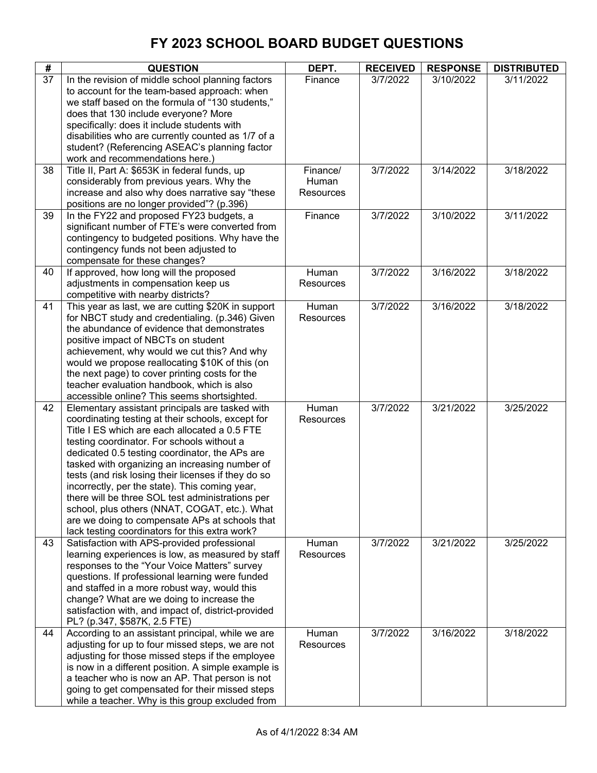| #  | <b>QUESTION</b>                                                                                                                                                                                                                                                                                                                                                                                                                                                                                                                                                                                                           | DEPT.                          | <b>RECEIVED</b> | <b>RESPONSE</b> | <b>DISTRIBUTED</b> |
|----|---------------------------------------------------------------------------------------------------------------------------------------------------------------------------------------------------------------------------------------------------------------------------------------------------------------------------------------------------------------------------------------------------------------------------------------------------------------------------------------------------------------------------------------------------------------------------------------------------------------------------|--------------------------------|-----------------|-----------------|--------------------|
| 37 | In the revision of middle school planning factors<br>to account for the team-based approach: when<br>we staff based on the formula of "130 students,"<br>does that 130 include everyone? More<br>specifically: does it include students with<br>disabilities who are currently counted as 1/7 of a<br>student? (Referencing ASEAC's planning factor<br>work and recommendations here.)                                                                                                                                                                                                                                    | Finance                        | 3/7/2022        | 3/10/2022       | 3/11/2022          |
| 38 | Title II, Part A: \$653K in federal funds, up<br>considerably from previous years. Why the<br>increase and also why does narrative say "these<br>positions are no longer provided"? (p.396)                                                                                                                                                                                                                                                                                                                                                                                                                               | Finance/<br>Human<br>Resources | 3/7/2022        | 3/14/2022       | 3/18/2022          |
| 39 | In the FY22 and proposed FY23 budgets, a<br>significant number of FTE's were converted from<br>contingency to budgeted positions. Why have the<br>contingency funds not been adjusted to<br>compensate for these changes?                                                                                                                                                                                                                                                                                                                                                                                                 | Finance                        | 3/7/2022        | 3/10/2022       | 3/11/2022          |
| 40 | If approved, how long will the proposed<br>adjustments in compensation keep us<br>competitive with nearby districts?                                                                                                                                                                                                                                                                                                                                                                                                                                                                                                      | Human<br>Resources             | 3/7/2022        | 3/16/2022       | 3/18/2022          |
| 41 | This year as last, we are cutting \$20K in support<br>for NBCT study and credentialing. (p.346) Given<br>the abundance of evidence that demonstrates<br>positive impact of NBCTs on student<br>achievement, why would we cut this? And why<br>would we propose reallocating \$10K of this (on<br>the next page) to cover printing costs for the<br>teacher evaluation handbook, which is also<br>accessible online? This seems shortsighted.                                                                                                                                                                              | Human<br>Resources             | 3/7/2022        | 3/16/2022       | 3/18/2022          |
| 42 | Elementary assistant principals are tasked with<br>coordinating testing at their schools, except for<br>Title I ES which are each allocated a 0.5 FTE<br>testing coordinator. For schools without a<br>dedicated 0.5 testing coordinator, the APs are<br>tasked with organizing an increasing number of<br>tests (and risk losing their licenses if they do so<br>incorrectly, per the state). This coming year,<br>there will be three SOL test administrations per<br>school, plus others (NNAT, COGAT, etc.). What<br>are we doing to compensate APs at schools that<br>lack testing coordinators for this extra work? | Human<br>Resources             | 3/7/2022        | 3/21/2022       | 3/25/2022          |
| 43 | Satisfaction with APS-provided professional<br>learning experiences is low, as measured by staff<br>responses to the "Your Voice Matters" survey<br>questions. If professional learning were funded<br>and staffed in a more robust way, would this<br>change? What are we doing to increase the<br>satisfaction with, and impact of, district-provided<br>PL? (p.347, \$587K, 2.5 FTE)                                                                                                                                                                                                                                   | Human<br><b>Resources</b>      | 3/7/2022        | 3/21/2022       | 3/25/2022          |
| 44 | According to an assistant principal, while we are<br>adjusting for up to four missed steps, we are not<br>adjusting for those missed steps if the employee<br>is now in a different position. A simple example is<br>a teacher who is now an AP. That person is not<br>going to get compensated for their missed steps<br>while a teacher. Why is this group excluded from                                                                                                                                                                                                                                                | Human<br>Resources             | 3/7/2022        | 3/16/2022       | 3/18/2022          |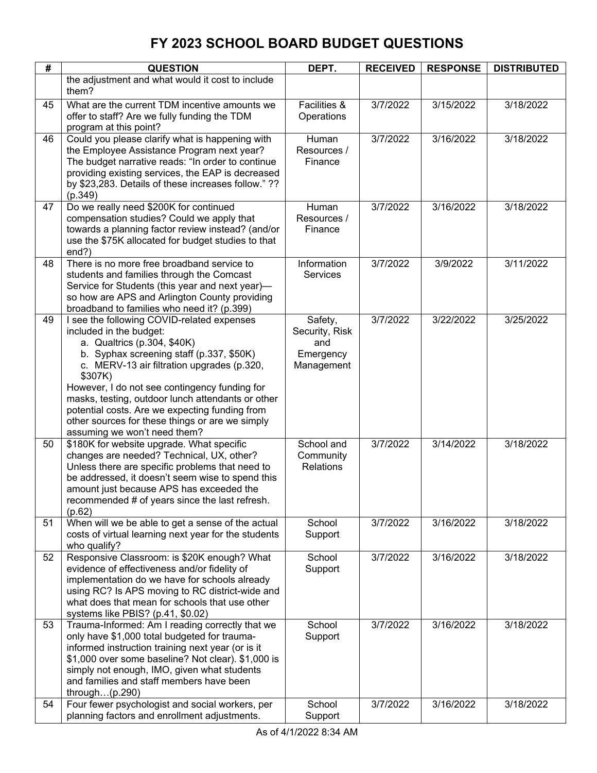| #  | <b>QUESTION</b>                                                                                     | DEPT.                   | <b>RECEIVED</b> | <b>RESPONSE</b> | <b>DISTRIBUTED</b> |
|----|-----------------------------------------------------------------------------------------------------|-------------------------|-----------------|-----------------|--------------------|
|    | the adjustment and what would it cost to include                                                    |                         |                 |                 |                    |
|    | them?                                                                                               |                         |                 |                 |                    |
| 45 | What are the current TDM incentive amounts we                                                       | Facilities &            | 3/7/2022        | 3/15/2022       | 3/18/2022          |
|    | offer to staff? Are we fully funding the TDM                                                        | Operations              |                 |                 |                    |
|    | program at this point?                                                                              |                         |                 |                 |                    |
| 46 | Could you please clarify what is happening with                                                     | Human                   | 3/7/2022        | 3/16/2022       | 3/18/2022          |
|    | the Employee Assistance Program next year?                                                          | Resources /             |                 |                 |                    |
|    | The budget narrative reads: "In order to continue                                                   | Finance                 |                 |                 |                    |
|    | providing existing services, the EAP is decreased                                                   |                         |                 |                 |                    |
|    | by \$23,283. Details of these increases follow." ??                                                 |                         |                 |                 |                    |
|    | (p.349)                                                                                             |                         |                 |                 |                    |
| 47 | Do we really need \$200K for continued<br>compensation studies? Could we apply that                 | Human<br>Resources /    | 3/7/2022        | 3/16/2022       | 3/18/2022          |
|    | towards a planning factor review instead? (and/or                                                   | Finance                 |                 |                 |                    |
|    | use the \$75K allocated for budget studies to that                                                  |                         |                 |                 |                    |
|    | end?)                                                                                               |                         |                 |                 |                    |
| 48 | There is no more free broadband service to                                                          | Information             | 3/7/2022        | 3/9/2022        | 3/11/2022          |
|    | students and families through the Comcast                                                           | <b>Services</b>         |                 |                 |                    |
|    | Service for Students (this year and next year)-                                                     |                         |                 |                 |                    |
|    | so how are APS and Arlington County providing                                                       |                         |                 |                 |                    |
|    | broadband to families who need it? (p.399)                                                          |                         |                 |                 |                    |
| 49 | I see the following COVID-related expenses                                                          | Safety,                 | 3/7/2022        | 3/22/2022       | 3/25/2022          |
|    | included in the budget:                                                                             | Security, Risk          |                 |                 |                    |
|    | a. Qualtrics (p.304, \$40K)                                                                         | and                     |                 |                 |                    |
|    | b. Syphax screening staff (p.337, \$50K)<br>c. MERV-13 air filtration upgrades (p.320,              | Emergency<br>Management |                 |                 |                    |
|    | \$307K)                                                                                             |                         |                 |                 |                    |
|    | However, I do not see contingency funding for                                                       |                         |                 |                 |                    |
|    | masks, testing, outdoor lunch attendants or other                                                   |                         |                 |                 |                    |
|    | potential costs. Are we expecting funding from                                                      |                         |                 |                 |                    |
|    | other sources for these things or are we simply                                                     |                         |                 |                 |                    |
|    | assuming we won't need them?                                                                        |                         |                 |                 |                    |
| 50 | \$180K for website upgrade. What specific                                                           | School and              | 3/7/2022        | 3/14/2022       | 3/18/2022          |
|    | changes are needed? Technical, UX, other?                                                           | Community               |                 |                 |                    |
|    | Unless there are specific problems that need to<br>be addressed, it doesn't seem wise to spend this | <b>Relations</b>        |                 |                 |                    |
|    | amount just because APS has exceeded the                                                            |                         |                 |                 |                    |
|    | recommended # of years since the last refresh.                                                      |                         |                 |                 |                    |
|    | (p.62)                                                                                              |                         |                 |                 |                    |
| 51 | When will we be able to get a sense of the actual                                                   | School                  | 3/7/2022        | 3/16/2022       | 3/18/2022          |
|    | costs of virtual learning next year for the students                                                | Support                 |                 |                 |                    |
|    | who qualify?                                                                                        |                         |                 |                 |                    |
| 52 | Responsive Classroom: is \$20K enough? What                                                         | School                  | 3/7/2022        | 3/16/2022       | 3/18/2022          |
|    | evidence of effectiveness and/or fidelity of                                                        | Support                 |                 |                 |                    |
|    | implementation do we have for schools already                                                       |                         |                 |                 |                    |
|    | using RC? Is APS moving to RC district-wide and                                                     |                         |                 |                 |                    |
|    | what does that mean for schools that use other                                                      |                         |                 |                 |                    |
| 53 | systems like PBIS? (p.41, \$0.02)<br>Trauma-Informed: Am I reading correctly that we                | School                  | 3/7/2022        | 3/16/2022       | 3/18/2022          |
|    | only have \$1,000 total budgeted for trauma-                                                        | Support                 |                 |                 |                    |
|    | informed instruction training next year (or is it                                                   |                         |                 |                 |                    |
|    | \$1,000 over some baseline? Not clear). \$1,000 is                                                  |                         |                 |                 |                    |
|    | simply not enough, IMO, given what students                                                         |                         |                 |                 |                    |
|    | and families and staff members have been                                                            |                         |                 |                 |                    |
|    | through $(p.290)$                                                                                   |                         |                 |                 |                    |
| 54 | Four fewer psychologist and social workers, per                                                     | School                  | 3/7/2022        | 3/16/2022       | 3/18/2022          |
|    | planning factors and enrollment adjustments.                                                        | Support                 |                 |                 |                    |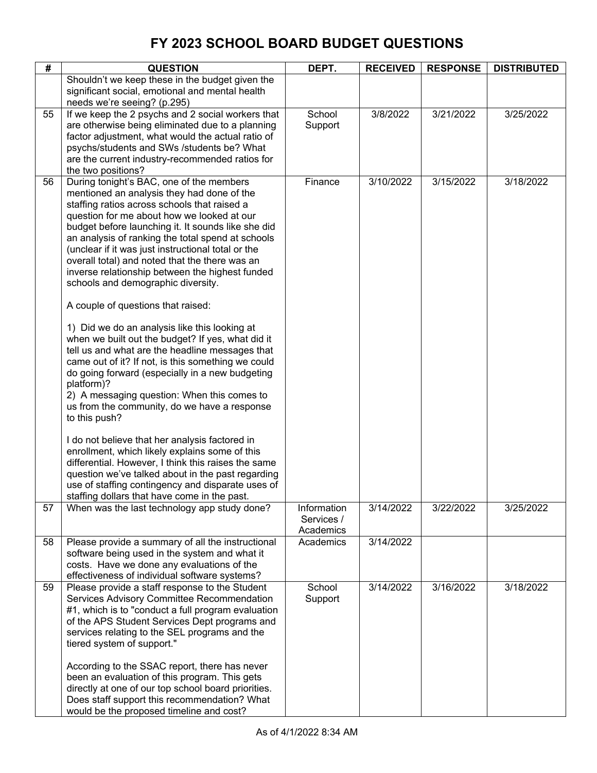| #  | <b>QUESTION</b>                                                                                                                                                                                                                                                                                                                                                                                                                                                                                                                                                                                                                                                                                                                                                                                                                                                                                                                                                                                                                                                                                                                                                                                                                                             | DEPT.                                  | <b>RECEIVED</b> | <b>RESPONSE</b> | <b>DISTRIBUTED</b> |
|----|-------------------------------------------------------------------------------------------------------------------------------------------------------------------------------------------------------------------------------------------------------------------------------------------------------------------------------------------------------------------------------------------------------------------------------------------------------------------------------------------------------------------------------------------------------------------------------------------------------------------------------------------------------------------------------------------------------------------------------------------------------------------------------------------------------------------------------------------------------------------------------------------------------------------------------------------------------------------------------------------------------------------------------------------------------------------------------------------------------------------------------------------------------------------------------------------------------------------------------------------------------------|----------------------------------------|-----------------|-----------------|--------------------|
|    | Shouldn't we keep these in the budget given the<br>significant social, emotional and mental health<br>needs we're seeing? (p.295)                                                                                                                                                                                                                                                                                                                                                                                                                                                                                                                                                                                                                                                                                                                                                                                                                                                                                                                                                                                                                                                                                                                           |                                        |                 |                 |                    |
| 55 | If we keep the 2 psychs and 2 social workers that<br>are otherwise being eliminated due to a planning<br>factor adjustment, what would the actual ratio of<br>psychs/students and SWs /students be? What<br>are the current industry-recommended ratios for<br>the two positions?                                                                                                                                                                                                                                                                                                                                                                                                                                                                                                                                                                                                                                                                                                                                                                                                                                                                                                                                                                           | School<br>Support                      | 3/8/2022        | 3/21/2022       | 3/25/2022          |
| 56 | During tonight's BAC, one of the members<br>mentioned an analysis they had done of the<br>staffing ratios across schools that raised a<br>question for me about how we looked at our<br>budget before launching it. It sounds like she did<br>an analysis of ranking the total spend at schools<br>(unclear if it was just instructional total or the<br>overall total) and noted that the there was an<br>inverse relationship between the highest funded<br>schools and demographic diversity.<br>A couple of questions that raised:<br>1) Did we do an analysis like this looking at<br>when we built out the budget? If yes, what did it<br>tell us and what are the headline messages that<br>came out of it? If not, is this something we could<br>do going forward (especially in a new budgeting<br>platform)?<br>2) A messaging question: When this comes to<br>us from the community, do we have a response<br>to this push?<br>I do not believe that her analysis factored in<br>enrollment, which likely explains some of this<br>differential. However, I think this raises the same<br>question we've talked about in the past regarding<br>use of staffing contingency and disparate uses of<br>staffing dollars that have come in the past. | Finance                                | 3/10/2022       | 3/15/2022       | 3/18/2022          |
| 57 | When was the last technology app study done?                                                                                                                                                                                                                                                                                                                                                                                                                                                                                                                                                                                                                                                                                                                                                                                                                                                                                                                                                                                                                                                                                                                                                                                                                | Information<br>Services /<br>Academics | 3/14/2022       | 3/22/2022       | 3/25/2022          |
| 58 | Please provide a summary of all the instructional<br>software being used in the system and what it<br>costs. Have we done any evaluations of the<br>effectiveness of individual software systems?                                                                                                                                                                                                                                                                                                                                                                                                                                                                                                                                                                                                                                                                                                                                                                                                                                                                                                                                                                                                                                                           | Academics                              | 3/14/2022       |                 |                    |
| 59 | Please provide a staff response to the Student<br>Services Advisory Committee Recommendation<br>#1, which is to "conduct a full program evaluation<br>of the APS Student Services Dept programs and<br>services relating to the SEL programs and the<br>tiered system of support."<br>According to the SSAC report, there has never<br>been an evaluation of this program. This gets<br>directly at one of our top school board priorities.<br>Does staff support this recommendation? What<br>would be the proposed timeline and cost?                                                                                                                                                                                                                                                                                                                                                                                                                                                                                                                                                                                                                                                                                                                     | School<br>Support                      | 3/14/2022       | 3/16/2022       | 3/18/2022          |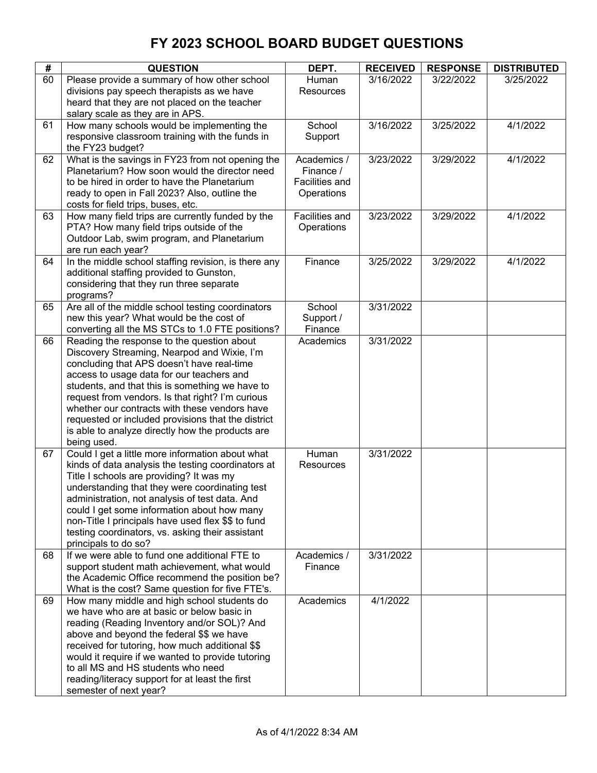| #  | <b>QUESTION</b>                                                                                                                                                                                                                                                                                                                                                                                                                                                       | DEPT.                                                    | <b>RECEIVED</b> | <b>RESPONSE</b> | <b>DISTRIBUTED</b> |
|----|-----------------------------------------------------------------------------------------------------------------------------------------------------------------------------------------------------------------------------------------------------------------------------------------------------------------------------------------------------------------------------------------------------------------------------------------------------------------------|----------------------------------------------------------|-----------------|-----------------|--------------------|
| 60 | Please provide a summary of how other school<br>divisions pay speech therapists as we have<br>heard that they are not placed on the teacher<br>salary scale as they are in APS.                                                                                                                                                                                                                                                                                       | Human<br>Resources                                       | 3/16/2022       | 3/22/2022       | 3/25/2022          |
| 61 | How many schools would be implementing the<br>responsive classroom training with the funds in<br>the FY23 budget?                                                                                                                                                                                                                                                                                                                                                     | School<br>Support                                        | 3/16/2022       | 3/25/2022       | 4/1/2022           |
| 62 | What is the savings in FY23 from not opening the<br>Planetarium? How soon would the director need<br>to be hired in order to have the Planetarium<br>ready to open in Fall 2023? Also, outline the<br>costs for field trips, buses, etc.                                                                                                                                                                                                                              | Academics /<br>Finance /<br>Facilities and<br>Operations | 3/23/2022       | 3/29/2022       | 4/1/2022           |
| 63 | How many field trips are currently funded by the<br>PTA? How many field trips outside of the<br>Outdoor Lab, swim program, and Planetarium<br>are run each year?                                                                                                                                                                                                                                                                                                      | Facilities and<br>Operations                             | 3/23/2022       | 3/29/2022       | 4/1/2022           |
| 64 | In the middle school staffing revision, is there any<br>additional staffing provided to Gunston,<br>considering that they run three separate<br>programs?                                                                                                                                                                                                                                                                                                             | Finance                                                  | 3/25/2022       | 3/29/2022       | 4/1/2022           |
| 65 | Are all of the middle school testing coordinators<br>new this year? What would be the cost of<br>converting all the MS STCs to 1.0 FTE positions?                                                                                                                                                                                                                                                                                                                     | School<br>Support /<br>Finance                           | 3/31/2022       |                 |                    |
| 66 | Reading the response to the question about<br>Discovery Streaming, Nearpod and Wixie, I'm<br>concluding that APS doesn't have real-time<br>access to usage data for our teachers and<br>students, and that this is something we have to<br>request from vendors. Is that right? I'm curious<br>whether our contracts with these vendors have<br>requested or included provisions that the district<br>is able to analyze directly how the products are<br>being used. | Academics                                                | 3/31/2022       |                 |                    |
| 67 | Could I get a little more information about what<br>kinds of data analysis the testing coordinators at<br>Title I schools are providing? It was my<br>understanding that they were coordinating test<br>administration, not analysis of test data. And<br>could I get some information about how many<br>non-Title I principals have used flex \$\$ to fund<br>testing coordinators, vs. asking their assistant<br>principals to do so?                               | Human<br>Resources                                       | 3/31/2022       |                 |                    |
| 68 | If we were able to fund one additional FTE to<br>support student math achievement, what would<br>the Academic Office recommend the position be?<br>What is the cost? Same question for five FTE's.                                                                                                                                                                                                                                                                    | Academics /<br>Finance                                   | 3/31/2022       |                 |                    |
| 69 | How many middle and high school students do<br>we have who are at basic or below basic in<br>reading (Reading Inventory and/or SOL)? And<br>above and beyond the federal \$\$ we have<br>received for tutoring, how much additional \$\$<br>would it require if we wanted to provide tutoring<br>to all MS and HS students who need<br>reading/literacy support for at least the first<br>semester of next year?                                                      | Academics                                                | 4/1/2022        |                 |                    |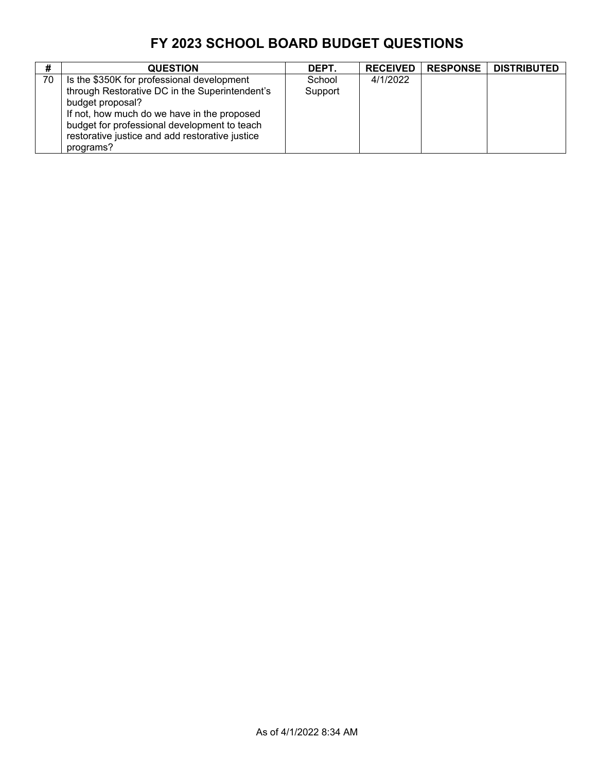| #  | <b>QUESTION</b>                                                                                                                                                                                                                                                    | DEPT.             | <b>RECEIVED</b> | <b>RESPONSE</b> | <b>DISTRIBUTED</b> |
|----|--------------------------------------------------------------------------------------------------------------------------------------------------------------------------------------------------------------------------------------------------------------------|-------------------|-----------------|-----------------|--------------------|
| 70 | Is the \$350K for professional development<br>through Restorative DC in the Superintendent's<br>budget proposal?<br>If not, how much do we have in the proposed<br>budget for professional development to teach<br>restorative justice and add restorative justice | School<br>Support | 4/1/2022        |                 |                    |
|    | programs?                                                                                                                                                                                                                                                          |                   |                 |                 |                    |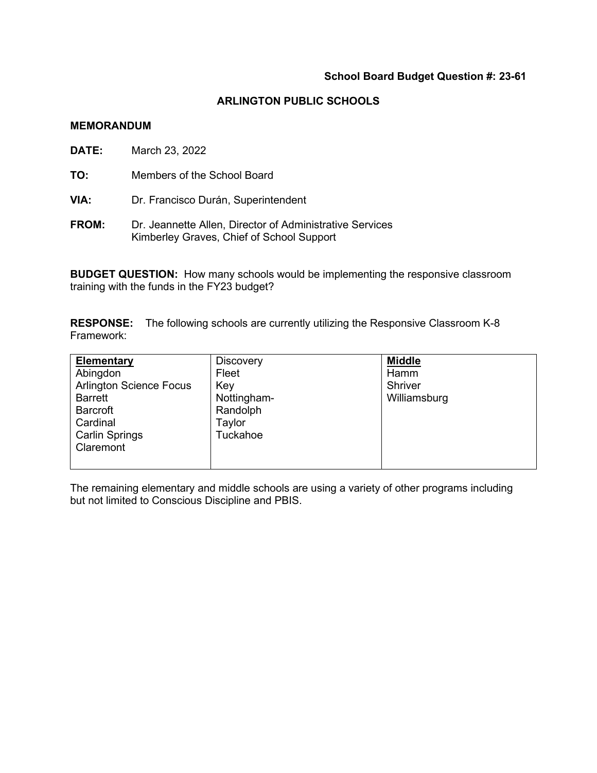### **School Board Budget Question #: 23-61**

### **ARLINGTON PUBLIC SCHOOLS**

#### **MEMORANDUM**

- **DATE:** March 23, 2022
- **TO:** Members of the School Board
- **VIA:** Dr. Francisco Durán, Superintendent
- **FROM:** Dr. Jeannette Allen, Director of Administrative Services Kimberley Graves, Chief of School Support

**BUDGET QUESTION:** How many schools would be implementing the responsive classroom training with the funds in the FY23 budget?

**RESPONSE:** The following schools are currently utilizing the Responsive Classroom K-8 Framework:

| Elementary                     | <b>Discovery</b> | <b>Middle</b> |
|--------------------------------|------------------|---------------|
| Abingdon                       | Fleet            | Hamm          |
| <b>Arlington Science Focus</b> | Key              | Shriver       |
| <b>Barrett</b>                 | Nottingham-      | Williamsburg  |
| <b>Barcroft</b>                | Randolph         |               |
| Cardinal                       | Taylor           |               |
| <b>Carlin Springs</b>          | Tuckahoe         |               |
| Claremont                      |                  |               |
|                                |                  |               |

The remaining elementary and middle schools are using a variety of other programs including but not limited to Conscious Discipline and PBIS.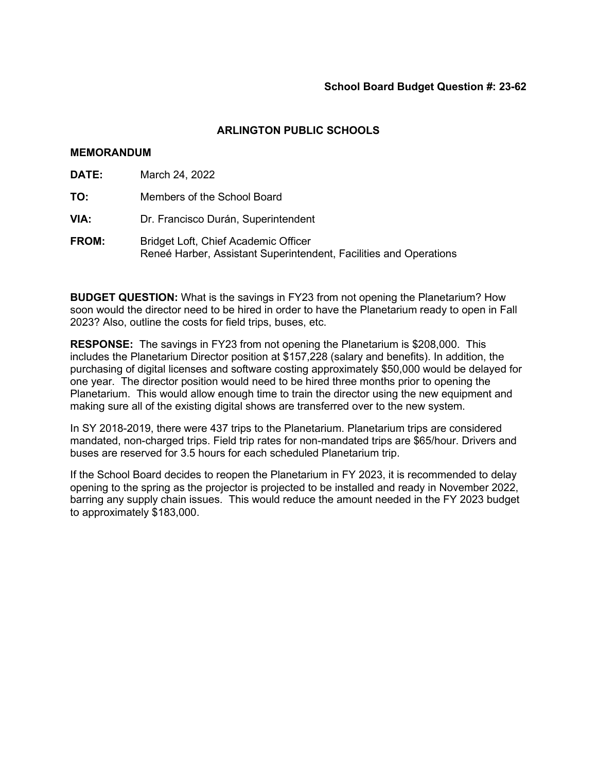### **ARLINGTON PUBLIC SCHOOLS**

### **MEMORANDUM**

| DATE:        | March 24, 2022                                                                                            |
|--------------|-----------------------------------------------------------------------------------------------------------|
| TO:          | Members of the School Board                                                                               |
| VIA:         | Dr. Francisco Durán, Superintendent                                                                       |
| <b>FROM:</b> | Bridget Loft, Chief Academic Officer<br>Reneé Harber, Assistant Superintendent, Facilities and Operations |

**BUDGET QUESTION:** What is the savings in FY23 from not opening the Planetarium? How soon would the director need to be hired in order to have the Planetarium ready to open in Fall 2023? Also, outline the costs for field trips, buses, etc.

**RESPONSE:** The savings in FY23 from not opening the Planetarium is \$208,000. This includes the Planetarium Director position at \$157,228 (salary and benefits). In addition, the purchasing of digital licenses and software costing approximately \$50,000 would be delayed for one year. The director position would need to be hired three months prior to opening the Planetarium. This would allow enough time to train the director using the new equipment and making sure all of the existing digital shows are transferred over to the new system.

In SY 2018-2019, there were 437 trips to the Planetarium. Planetarium trips are considered mandated, non-charged trips. Field trip rates for non-mandated trips are \$65/hour. Drivers and buses are reserved for 3.5 hours for each scheduled Planetarium trip.

If the School Board decides to reopen the Planetarium in FY 2023, it is recommended to delay opening to the spring as the projector is projected to be installed and ready in November 2022, barring any supply chain issues. This would reduce the amount needed in the FY 2023 budget to approximately \$183,000.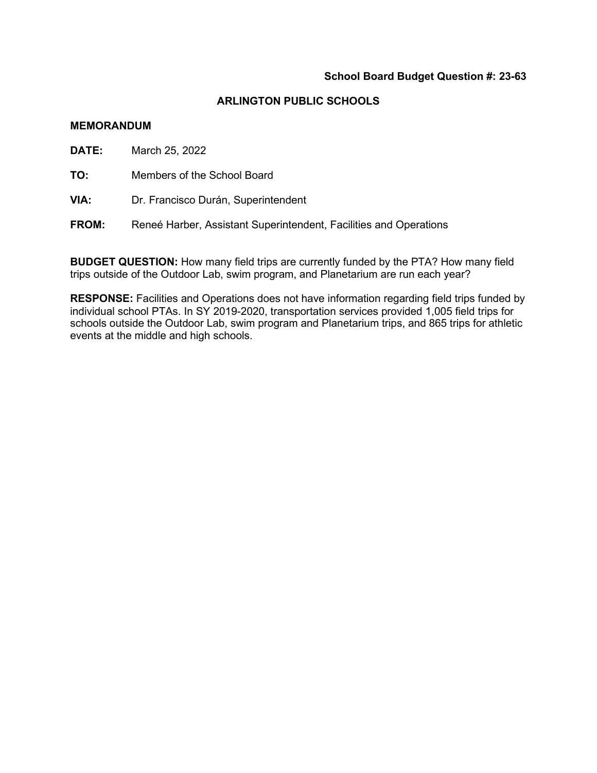### **School Board Budget Question #: 23-63**

### **ARLINGTON PUBLIC SCHOOLS**

### **MEMORANDUM**

**DATE:** March 25, 2022

**TO:** Members of the School Board

**VIA:** Dr. Francisco Durán, Superintendent

**FROM:** Reneé Harber, Assistant Superintendent, Facilities and Operations

**BUDGET QUESTION:** How many field trips are currently funded by the PTA? How many field trips outside of the Outdoor Lab, swim program, and Planetarium are run each year?

**RESPONSE:** Facilities and Operations does not have information regarding field trips funded by individual school PTAs. In SY 2019-2020, transportation services provided 1,005 field trips for schools outside the Outdoor Lab, swim program and Planetarium trips, and 865 trips for athletic events at the middle and high schools.